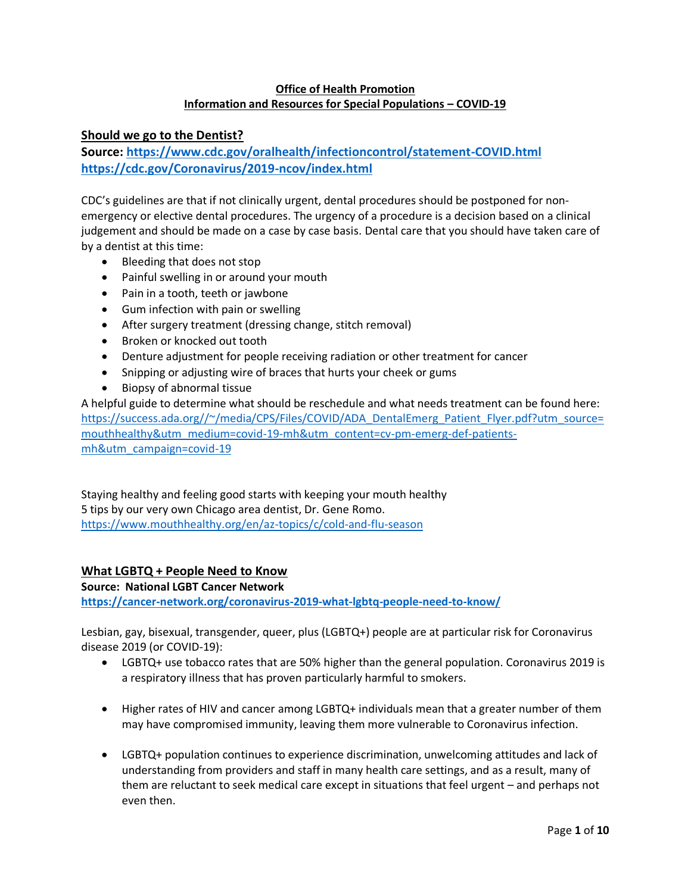## **Office of Health Promotion Information and Resources for Special Populations – COVID-19**

### **Should we go to the Dentist?**

**Source:<https://www.cdc.gov/oralhealth/infectioncontrol/statement-COVID.html> <https://cdc.gov/Coronavirus/2019-ncov/index.html>**

CDC's guidelines are that if not clinically urgent, dental procedures should be postponed for nonemergency or elective dental procedures. The urgency of a procedure is a decision based on a clinical judgement and should be made on a case by case basis. Dental care that you should have taken care of by a dentist at this time:

- Bleeding that does not stop
- Painful swelling in or around your mouth
- Pain in a tooth, teeth or jawbone
- Gum infection with pain or swelling
- After surgery treatment (dressing change, stitch removal)
- Broken or knocked out tooth
- Denture adjustment for people receiving radiation or other treatment for cancer
- Snipping or adjusting wire of braces that hurts your cheek or gums
- Biopsy of abnormal tissue

A helpful guide to determine what should be reschedule and what needs treatment can be found here: [https://success.ada.org//~/media/CPS/Files/COVID/ADA\\_DentalEmerg\\_Patient\\_Flyer.pdf?utm\\_source=](https://success.ada.org/~/media/CPS/Files/COVID/ADA_DentalEmerg_Patient_Flyer.pdf?utm_source=mouthhealthy&utm_medium=covid-19-mh&utm_content=cv-pm-emerg-def-patients-mh&utm_campaign=covid-19) [mouthhealthy&utm\\_medium=covid-19-mh&utm\\_content=cv-pm-emerg-def-patients](https://success.ada.org/~/media/CPS/Files/COVID/ADA_DentalEmerg_Patient_Flyer.pdf?utm_source=mouthhealthy&utm_medium=covid-19-mh&utm_content=cv-pm-emerg-def-patients-mh&utm_campaign=covid-19)[mh&utm\\_campaign=covid-19](https://success.ada.org/~/media/CPS/Files/COVID/ADA_DentalEmerg_Patient_Flyer.pdf?utm_source=mouthhealthy&utm_medium=covid-19-mh&utm_content=cv-pm-emerg-def-patients-mh&utm_campaign=covid-19)

Staying healthy and feeling good starts with keeping your mouth healthy 5 tips by our very own Chicago area dentist, Dr. Gene Romo. <https://www.mouthhealthy.org/en/az-topics/c/cold-and-flu-season>

### **What LGBTQ + People Need to Know**

#### **Source: National LGBT Cancer Network**

**<https://cancer-network.org/coronavirus-2019-what-lgbtq-people-need-to-know/>**

Lesbian, gay, bisexual, transgender, queer, plus (LGBTQ+) people are at particular risk for Coronavirus disease 2019 (or COVID-19):

- LGBTQ+ use tobacco rates that are 50% higher than the general population. Coronavirus 2019 is a respiratory illness that has proven particularly harmful to smokers.
- Higher rates of HIV and cancer among LGBTQ+ individuals mean that a greater number of them may have compromised immunity, leaving them more vulnerable to Coronavirus infection.
- LGBTQ+ population continues to experience discrimination, unwelcoming attitudes and lack of understanding from providers and staff in many health care settings, and as a result, many of them are reluctant to seek medical care except in situations that feel urgent – and perhaps not even then.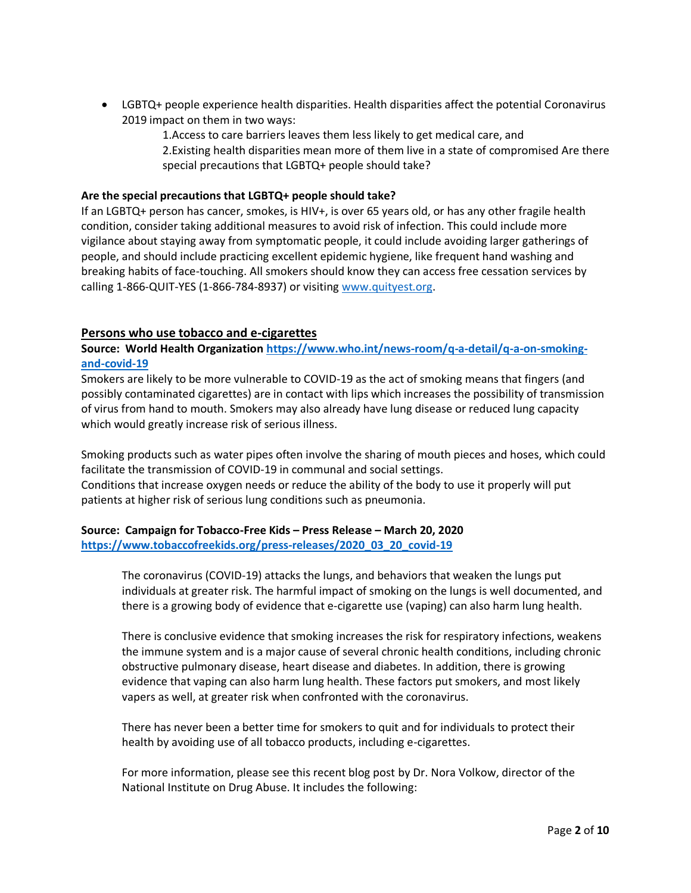- LGBTQ+ people experience health disparities. Health disparities affect the potential Coronavirus 2019 impact on them in two ways:
	- 1.Access to care barriers leaves them less likely to get medical care, and 2.Existing health disparities mean more of them live in a state of compromised Are there special precautions that LGBTQ+ people should take?

### **Are the special precautions that LGBTQ+ people should take?**

If an LGBTQ+ person has cancer, smokes, is HIV+, is over 65 years old, or has any other fragile health condition, consider taking additional measures to avoid risk of infection. This could include more vigilance about staying away from symptomatic people, it could include avoiding larger gatherings of people, and should include practicing excellent epidemic hygiene, like frequent hand washing and breaking habits of face-touching. All smokers should know they can access free cessation services by calling 1-866-QUIT-YES (1-866-784-8937) or visiting [www.quityest.org.](http://www.quityest.org/)

## **Persons who use tobacco and e-cigarettes**

## **Source: World Health Organization [https://www.who.int/news-room/q-a-detail/q-a-on-smoking](https://www.who.int/news-room/q-a-detail/q-a-on-smoking-and-covid-19)[and-covid-19](https://www.who.int/news-room/q-a-detail/q-a-on-smoking-and-covid-19)**

Smokers are likely to be more vulnerable to COVID-19 as the act of smoking means that fingers (and possibly contaminated cigarettes) are in contact with lips which increases the possibility of transmission of virus from hand to mouth. Smokers may also already have lung disease or reduced lung capacity which would greatly increase risk of serious illness.

Smoking products such as water pipes often involve the sharing of mouth pieces and hoses, which could facilitate the transmission of COVID-19 in communal and social settings. Conditions that increase oxygen needs or reduce the ability of the body to use it properly will put patients at higher risk of serious lung conditions such as pneumonia.

### **Source: Campaign for Tobacco-Free Kids – Press Release – March 20, 2020 [https://www.tobaccofreekids.org/press-releases/2020\\_03\\_20\\_covid-19](https://www.tobaccofreekids.org/press-releases/2020_03_20_covid-19)**

The coronavirus (COVID-19) attacks the lungs, and behaviors that weaken the lungs put individuals at greater risk. The harmful impact of smoking on the lungs is well documented, and there is a growing body of evidence that e-cigarette use (vaping) can also harm lung health.

There is conclusive evidence that smoking increases the risk for respiratory infections, weakens the immune system and is a major cause of several chronic health conditions, including chronic obstructive pulmonary disease, heart disease and diabetes. In addition, there is growing evidence that vaping can also harm lung health. These factors put smokers, and most likely vapers as well, at greater risk when confronted with the coronavirus.

There has never been a better time for smokers to quit and for individuals to protect their health by avoiding use of all tobacco products, including e-cigarettes.

For more information, please see this recent blog post by Dr. Nora Volkow, director of the National Institute on Drug Abuse. It includes the following: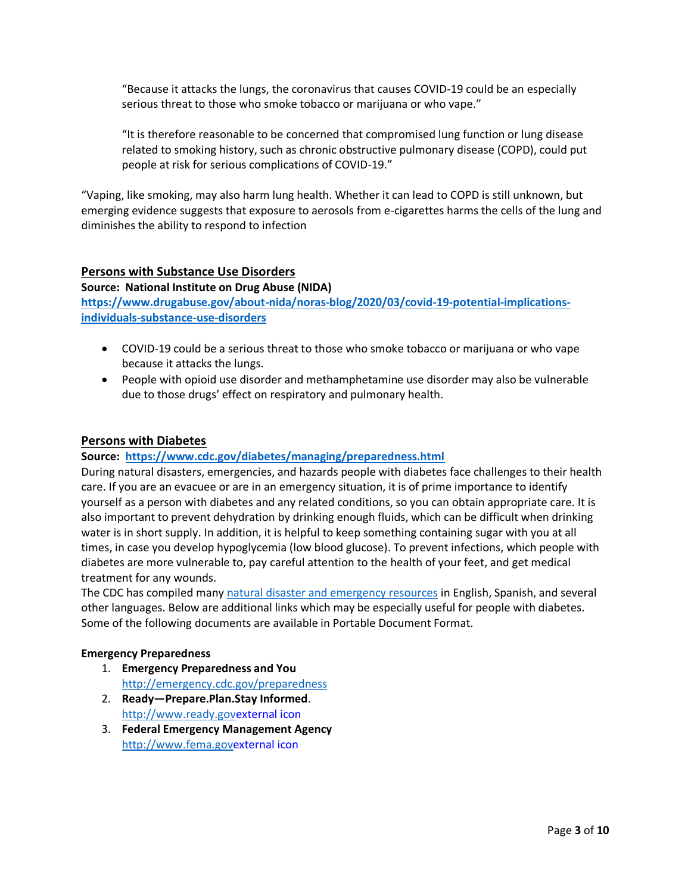"Because it attacks the lungs, the coronavirus that causes COVID-19 could be an especially serious threat to those who smoke tobacco or marijuana or who vape."

"It is therefore reasonable to be concerned that compromised lung function or lung disease related to smoking history, such as chronic obstructive pulmonary disease (COPD), could put people at risk for serious complications of COVID-19."

"Vaping, like smoking, may also harm lung health. Whether it can lead to COPD is still unknown, but emerging evidence suggests that exposure to aerosols from e-cigarettes harms the cells of the lung and diminishes the ability to respond to infection

### **Persons with Substance Use Disorders**

#### **Source: National Institute on Drug Abuse (NIDA)**

**[https://www.drugabuse.gov/about-nida/noras-blog/2020/03/covid-19-potential-implications](https://www.drugabuse.gov/about-nida/noras-blog/2020/03/covid-19-potential-implications-individuals-substance-use-disorders)[individuals-substance-use-disorders](https://www.drugabuse.gov/about-nida/noras-blog/2020/03/covid-19-potential-implications-individuals-substance-use-disorders)**

- COVID-19 could be a serious threat to those who smoke tobacco or marijuana or who vape because it attacks the lungs.
- People with opioid use disorder and methamphetamine use disorder may also be vulnerable due to those drugs' effect on respiratory and pulmonary health.

### **Persons with Diabetes**

#### **Source: <https://www.cdc.gov/diabetes/managing/preparedness.html>**

During natural disasters, emergencies, and hazards people with diabetes face challenges to their health care. If you are an evacuee or are in an emergency situation, it is of prime importance to identify yourself as a person with diabetes and any related conditions, so you can obtain appropriate care. It is also important to prevent dehydration by drinking enough fluids, which can be difficult when drinking water is in short supply. In addition, it is helpful to keep something containing sugar with you at all times, in case you develop hypoglycemia (low blood glucose). To prevent infections, which people with diabetes are more vulnerable to, pay careful attention to the health of your feet, and get medical treatment for any wounds.

The CDC has compiled many [natural disaster and emergency resources](http://emergency.cdc.gov/disasters/index.asp) in English, Spanish, and several other languages. Below are additional links which may be especially useful for people with diabetes. Some of the following documents are available in Portable Document Format.

#### **Emergency Preparedness**

- 1. **Emergency Preparedness and You** <http://emergency.cdc.gov/preparedness>
- 2. **Ready—Prepare.Plan.Stay Informed**. [http://www.ready.govexternal icon](http://www.ready.gov/)
- 3. **Federal Emergency Management Agency** [http://www.fema.govexternal icon](http://www.fema.gov/)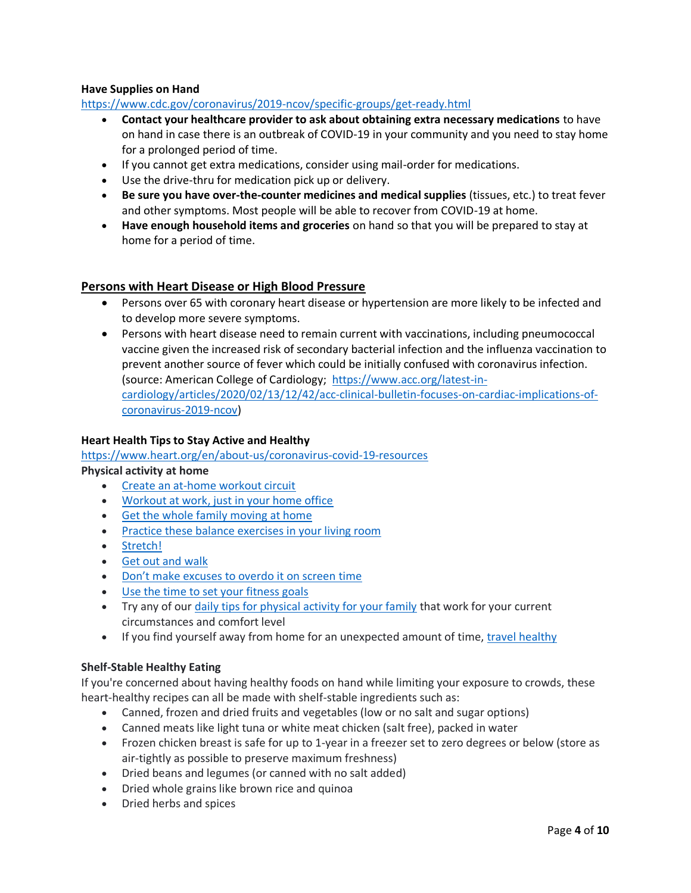### **Have Supplies on Hand**

### <https://www.cdc.gov/coronavirus/2019-ncov/specific-groups/get-ready.html>

- **Contact your healthcare provider to ask about obtaining extra necessary medications** to have on hand in case there is an outbreak of COVID-19 in your community and you need to stay home for a prolonged period of time.
- If you cannot get extra medications, consider using mail-order for medications.
- Use the drive-thru for medication pick up or delivery.
- **Be sure you have over-the-counter medicines and medical supplies** (tissues, etc.) to treat fever and other symptoms. Most people will be able to recover from COVID-19 at home.
- **Have enough household items and groceries** on hand so that you will be prepared to stay at home for a period of time.

### **Persons with Heart Disease or High Blood Pressure**

- Persons over 65 with coronary heart disease or hypertension are more likely to be infected and to develop more severe symptoms.
- Persons with heart disease need to remain current with vaccinations, including pneumococcal vaccine given the increased risk of secondary bacterial infection and the influenza vaccination to prevent another source of fever which could be initially confused with coronavirus infection. (source: American College of Cardiology; [https://www.acc.org/latest-in](https://www.acc.org/latest-in-cardiology/articles/2020/02/13/12/42/acc-clinical-bulletin-focuses-on-cardiac-implications-of-coronavirus-2019-ncov)[cardiology/articles/2020/02/13/12/42/acc-clinical-bulletin-focuses-on-cardiac-implications-of](https://www.acc.org/latest-in-cardiology/articles/2020/02/13/12/42/acc-clinical-bulletin-focuses-on-cardiac-implications-of-coronavirus-2019-ncov)[coronavirus-2019-ncov\)](https://www.acc.org/latest-in-cardiology/articles/2020/02/13/12/42/acc-clinical-bulletin-focuses-on-cardiac-implications-of-coronavirus-2019-ncov)

### **Heart Health Tips to Stay Active and Healthy**

<https://www.heart.org/en/about-us/coronavirus-covid-19-resources>

## **Physical activity at home**

- [Create an at-home workout circuit](https://www.heart.org/en/healthy-living/fitness/getting-active/create-a-circuit-home-workout)
- [Workout at work, just in your home office](https://www.heart.org/en/healthy-living/fitness/getting-active/how-to-be-more-active-at-work)
- [Get the whole family moving at home](https://www.heart.org/en/healthy-living/fitness/getting-active/how-to-move-more-anytime-anywhere)
- Practice these balance exercises in your living room
- [Stretch!](https://www.heart.org/en/healthy-living/fitness/staying-motivated/stretches-for-exercise-and-flexibility)
- [Get out and walk](https://www.heart.org/en/healthy-living/fitness/walking/why-is-walking-the-most-popular-form-of-exercise)
- [Don't make excuses to overdo it on screen time](https://www.heart.org/en/healthy-living/fitness/getting-active/limit-screen-time-and-get-your-kids-and-the-whole-family-moving)
- [Use the time to set your fitness goals](https://www.heart.org/en/healthy-living/fitness/staying-motivated/set-your-fitness-goals)
- Try any of our [daily tips for physical activity for your family](https://www.heart.org/en/healthy-living/fitness/getting-active/daily-tips-to-help-keep-your-family-active) that work for your current circumstances and comfort level
- If you find yourself away from home for an unexpected amount of time[, travel healthy](https://www.heart.org/en/healthy-living/healthy-lifestyle/mental-health-and-wellbeing/healthy-travel)

#### **Shelf-Stable Healthy Eating**

If you're concerned about having healthy foods on hand while limiting your exposure to crowds, these heart-healthy recipes can all be made with shelf-stable ingredients such as:

- Canned, frozen and dried fruits and vegetables (low or no salt and sugar options)
- Canned meats like light tuna or white meat chicken (salt free), packed in water
- Frozen chicken breast is safe for up to 1-year in a freezer set to zero degrees or below (store as air-tightly as possible to preserve maximum freshness)
- Dried beans and legumes (or canned with no salt added)
- Dried whole grains like brown rice and quinoa
- Dried herbs and spices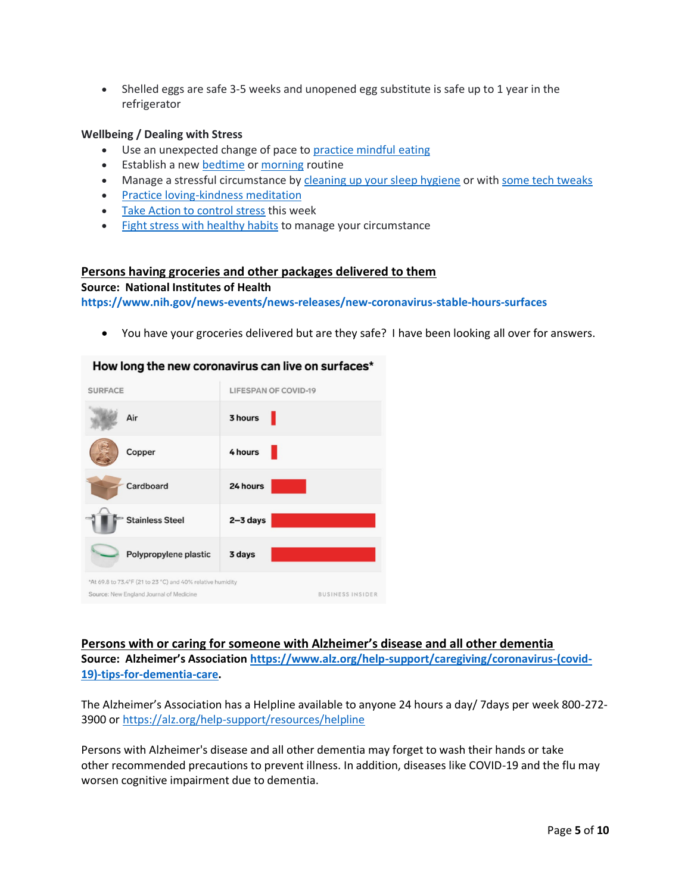• Shelled eggs are safe 3-5 weeks and unopened egg substitute is safe up to 1 year in the refrigerator

### **Wellbeing / Dealing with Stress**

- Use an unexpected change of pace to [practice mindful eating](https://www.heart.org/en/healthy-living/healthy-lifestyle/mental-health-and-wellbeing/mindful-eating-savor-the-flavor)
- Establish a new [bedtime](https://www.heart.org/en/healthy-living/healthy-lifestyle/sleep/how-to-sleep-better-with-a-bedtime-routine) o[r morning](https://www.heart.org/en/healthy-living/healthy-lifestyle/sleep/how-to-establish-a-wakeup-routine-for-a-good-morning-every-morning) routine
- Manage a stressful circumstance by [cleaning up your sleep hygiene](https://www.heart.org/en/healthy-living/healthy-lifestyle/sleep/how-to-sleep-better-infographic) or wit[h some tech tweaks](https://www.heart.org/en/healthy-living/healthy-lifestyle/sleep/how-to-sleep-better-with-tech-tweaks)
- [Practice loving-kindness meditation](https://www.heart.org/en/healthy-living/healthy-lifestyle/mental-health-and-wellbeing/loving-kindness-meditation-infographic)
- [Take Action to control stress](https://www.heart.org/en/healthy-living/healthy-lifestyle/stress-management/take-action-to-control-stress) this week
- [Fight stress with healthy habits](https://www.heart.org/en/healthy-living/healthy-lifestyle/stress-management/fight-stress-with-healthy-habits-infographic) to manage your circumstance

### **Persons having groceries and other packages delivered to them**

#### **Source: National Institutes of Health**

**<https://www.nih.gov/news-events/news-releases/new-coronavirus-stable-hours-surfaces>**

• You have your groceries delivered but are they safe? I have been looking all over for answers.

#### How long the new coronavirus can live on surfaces\*



**Persons with or caring for someone with Alzheimer's disease and all other dementia Source: Alzheimer's Association [https://www.alz.org/help-support/caregiving/coronavirus-\(covid-](https://www.alz.org/help-support/caregiving/coronavirus-(covid-19)-tips-for-dementia-care)[19\)-tips-for-dementia-care.](https://www.alz.org/help-support/caregiving/coronavirus-(covid-19)-tips-for-dementia-care)**

The Alzheimer's Association has a Helpline available to anyone 24 hours a day/ 7days per week 800-272- 3900 or<https://alz.org/help-support/resources/helpline>

Persons with Alzheimer's disease and all other dementia may forget to wash their hands or take other recommended precautions to prevent illness. In addition, diseases like COVID-19 and the flu may worsen cognitive impairment due to dementia.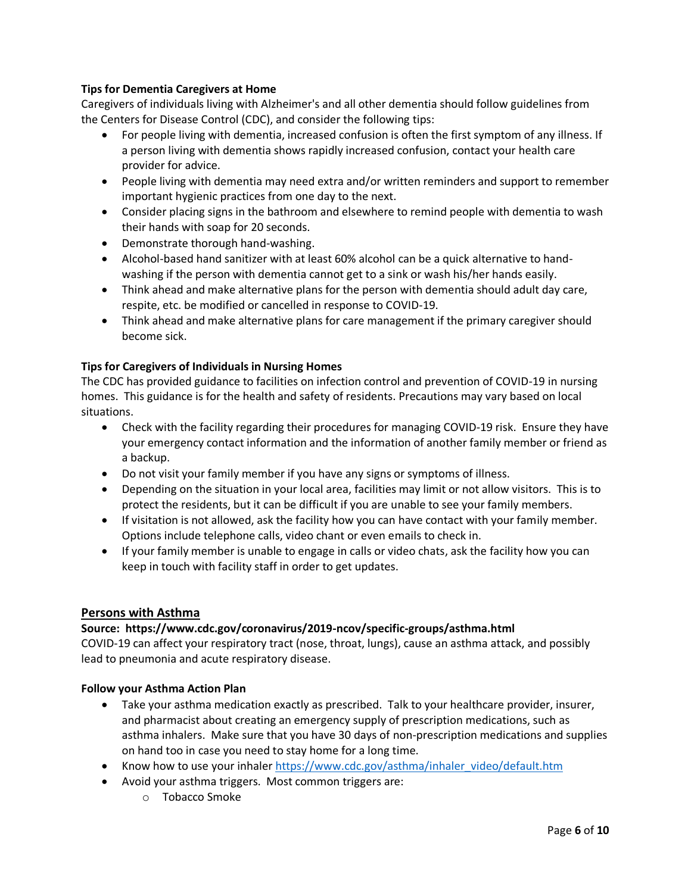## **Tips for Dementia Caregivers at Home**

Caregivers of individuals living with Alzheimer's and all other dementia should follow guidelines from the Centers for Disease Control (CDC), and consider the following tips:

- For people living with dementia, increased confusion is often the first symptom of any illness. If a person living with dementia shows rapidly increased confusion, contact your health care provider for advice.
- People living with dementia may need extra and/or written reminders and support to remember important hygienic practices from one day to the next.
- Consider placing signs in the bathroom and elsewhere to remind people with dementia to wash their hands with soap for 20 seconds.
- Demonstrate thorough hand-washing.
- Alcohol-based hand sanitizer with at least 60% alcohol can be a quick alternative to handwashing if the person with dementia cannot get to a sink or wash his/her hands easily.
- Think ahead and make alternative plans for the person with dementia should adult day care, respite, etc. be modified or cancelled in response to COVID-19.
- Think ahead and make alternative plans for care management if the primary caregiver should become sick.

## **Tips for Caregivers of Individuals in Nursing Homes**

The CDC has provided guidance to facilities on infection control and prevention of COVID-19 in nursing homes. This guidance is for the health and safety of residents. Precautions may vary based on local situations.

- Check with the facility regarding their procedures for managing COVID-19 risk. Ensure they have your emergency contact information and the information of another family member or friend as a backup.
- Do not visit your family member if you have any signs or symptoms of illness.
- Depending on the situation in your local area, facilities may limit or not allow visitors. This is to protect the residents, but it can be difficult if you are unable to see your family members.
- If visitation is not allowed, ask the facility how you can have contact with your family member. Options include telephone calls, video chant or even emails to check in.
- If your family member is unable to engage in calls or video chats, ask the facility how you can keep in touch with facility staff in order to get updates.

### **Persons with Asthma**

### **Source: https://www.cdc.gov/coronavirus/2019-ncov/specific-groups/asthma.html**

COVID-19 can affect your respiratory tract (nose, throat, lungs), cause an asthma attack, and possibly lead to pneumonia and acute respiratory disease.

### **Follow your Asthma Action Plan**

- Take your asthma medication exactly as prescribed. Talk to your healthcare provider, insurer, and pharmacist about creating an emergency supply of prescription medications, such as asthma inhalers. Make sure that you have 30 days of non-prescription medications and supplies on hand too in case you need to stay home for a long time.
- Know how to use your inhaler [https://www.cdc.gov/asthma/inhaler\\_video/default.htm](https://www.cdc.gov/asthma/inhaler_video/default.htm)
- Avoid your asthma triggers. Most common triggers are:
	- o Tobacco Smoke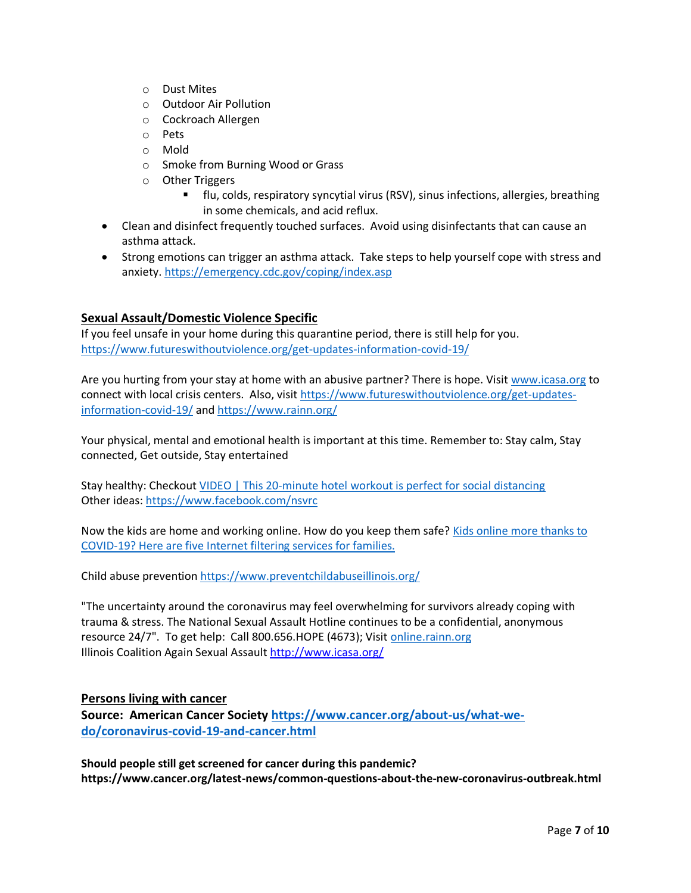- o Dust Mites
- o Outdoor Air Pollution
- o Cockroach Allergen
- o Pets
- o Mold
- o Smoke from Burning Wood or Grass
- o Other Triggers
	- flu, colds, respiratory syncytial virus (RSV), sinus infections, allergies, breathing in some chemicals, and acid reflux.
- Clean and disinfect frequently touched surfaces. Avoid using disinfectants that can cause an asthma attack.
- Strong emotions can trigger an asthma attack. Take steps to help yourself cope with stress and anxiety[. https://emergency.cdc.gov/coping/index.asp](https://emergency.cdc.gov/coping/index.asp)

## **Sexual Assault/Domestic Violence Specific**

If you feel unsafe in your home during this quarantine period, there is still help for you. <https://www.futureswithoutviolence.org/get-updates-information-covid-19/>

Are you hurting from your stay at home with an abusive partner? There is hope. Visit [www.icasa.org](http://www.icasa.org/) to connect with local crisis centers. Also, visit [https://www.futureswithoutviolence.org/get-updates](https://www.futureswithoutviolence.org/get-updates-information-covid-19/)[information-covid-19/](https://www.futureswithoutviolence.org/get-updates-information-covid-19/) and<https://www.rainn.org/>

Your physical, mental and emotional health is important at this time. Remember to: Stay calm, Stay connected, Get outside, Stay entertained

Stay healthy: Checkout [VIDEO | This 20-minute hotel workout is perfect for social distancing](https://www.washingtonpost.com/travel/tips/video-this-minute-hotel-workout-is-perfect-social-distancing/) Other ideas:<https://www.facebook.com/nsvrc>

Now the kids are home and working online. How do you keep them safe? Kids online more thanks to [COVID-19? Here are five Internet filtering services for families.](https://endsexualexploitation.org/articles/kids-online-more-thanks-to-covid-19-here-are-five-internet-filtering-services-for-families/?utm_source=facebook&utm_medium=social&utm_campaign=ncose&fbclid=IwAR0RixeXK7rZcZS7MkClSUUES9RAVCKYy3kVMekD_as8XQvqHuD9pxdeT-4)

Child abuse preventio[n https://www.preventchildabuseillinois.org/](https://www.preventchildabuseillinois.org/)

"The uncertainty around the coronavirus may feel overwhelming for survivors already coping with trauma & stress. The National Sexual Assault Hotline continues to be a confidential, anonymous resource 24/7". To get help: Call 800.656.HOPE (4673); Visit [online.rainn.org](http://online.rainn.org/?fbclid=IwAR01HDrYUzYlqQyF1lM4dCGLp9uE54p91UcTYpnjpwfcV1gRSLFFXlnYj1s) Illinois Coalition Again Sexual Assault<http://www.icasa.org/>

### **Persons living with cancer**

**Source: American Cancer Society [https://www.cancer.org/about-us/what-we](https://www.cancer.org/about-us/what-we-do/coronavirus-covid-19-and-cancer.html)[do/coronavirus-covid-19-and-cancer.html](https://www.cancer.org/about-us/what-we-do/coronavirus-covid-19-and-cancer.html)**

**Should people still get screened for cancer during this pandemic? https://www.cancer.org/latest-news/common-questions-about-the-new-coronavirus-outbreak.html**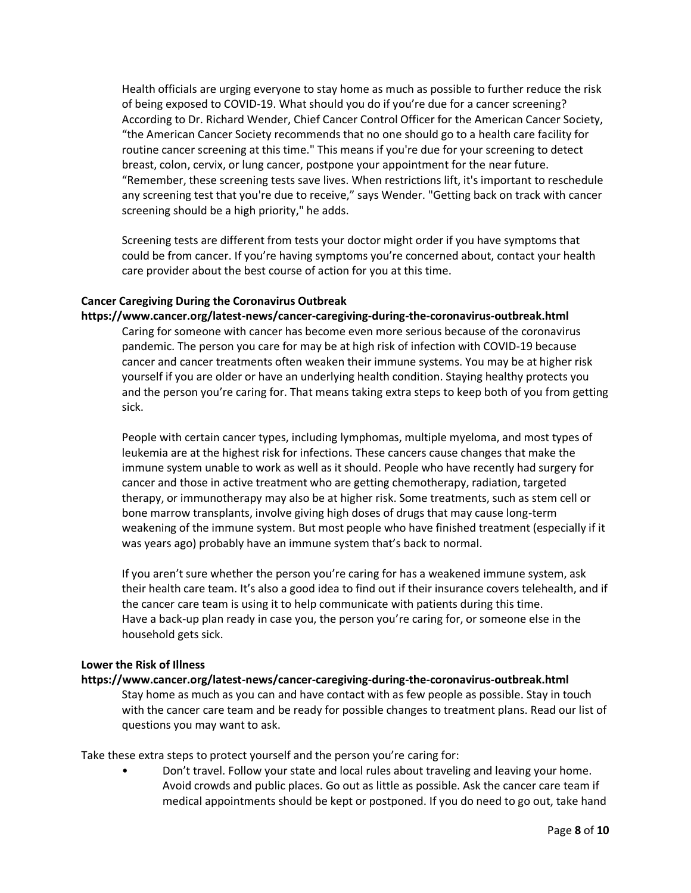Health officials are urging everyone to stay home as much as possible to further reduce the risk of being exposed to COVID-19. What should you do if you're due for a cancer screening? According to Dr. Richard Wender, Chief Cancer Control Officer for the American Cancer Society, "the American Cancer Society recommends that no one should go to a health care facility for routine cancer screening at this time." This means if you're due for your screening to detect breast, colon, cervix, or lung cancer, postpone your appointment for the near future. "Remember, these screening tests save lives. When restrictions lift, it's important to reschedule any screening test that you're due to receive," says Wender. "Getting back on track with cancer screening should be a high priority," he adds.

Screening tests are different from tests your doctor might order if you have symptoms that could be from cancer. If you're having symptoms you're concerned about, contact your health care provider about the best course of action for you at this time.

### **Cancer Caregiving During the Coronavirus Outbreak**

**https://www.cancer.org/latest-news/cancer-caregiving-during-the-coronavirus-outbreak.html**  Caring for someone with cancer has become even more serious because of the coronavirus

pandemic. The person you care for may be at high risk of infection with COVID-19 because cancer and cancer treatments often weaken their immune systems. You may be at higher risk yourself if you are older or have an underlying health condition. Staying healthy protects you and the person you're caring for. That means taking extra steps to keep both of you from getting sick.

People with certain cancer types, including lymphomas, multiple myeloma, and most types of leukemia are at the highest risk for infections. These cancers cause changes that make the immune system unable to work as well as it should. People who have recently had surgery for cancer and those in active treatment who are getting chemotherapy, radiation, targeted therapy, or immunotherapy may also be at higher risk. Some treatments, such as stem cell or bone marrow transplants, involve giving high doses of drugs that may cause long-term weakening of the immune system. But most people who have finished treatment (especially if it was years ago) probably have an immune system that's back to normal.

If you aren't sure whether the person you're caring for has a weakened immune system, ask their health care team. It's also a good idea to find out if their insurance covers telehealth, and if the cancer care team is using it to help communicate with patients during this time. Have a back-up plan ready in case you, the person you're caring for, or someone else in the household gets sick.

#### **Lower the Risk of Illness**

#### **https://www.cancer.org/latest-news/cancer-caregiving-during-the-coronavirus-outbreak.html**

Stay home as much as you can and have contact with as few people as possible. Stay in touch with the cancer care team and be ready for possible changes to treatment plans. Read our list of questions you may want to ask.

Take these extra steps to protect yourself and the person you're caring for:

• Don't travel. Follow your state and local rules about traveling and leaving your home. Avoid crowds and public places. Go out as little as possible. Ask the cancer care team if medical appointments should be kept or postponed. If you do need to go out, take hand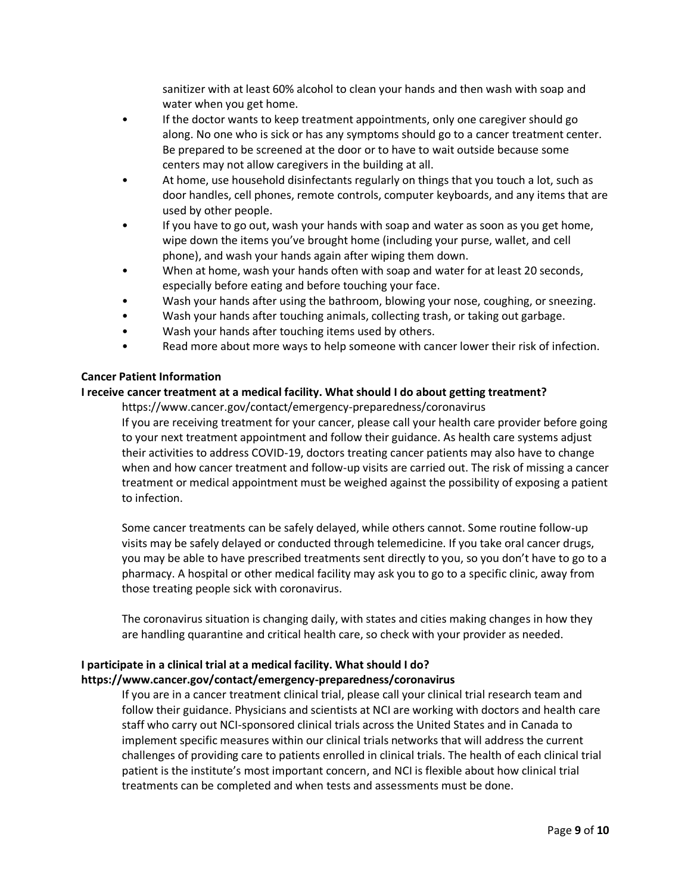sanitizer with at least 60% alcohol to clean your hands and then wash with soap and water when you get home.

- If the doctor wants to keep treatment appointments, only one caregiver should go along. No one who is sick or has any symptoms should go to a cancer treatment center. Be prepared to be screened at the door or to have to wait outside because some centers may not allow caregivers in the building at all.
- At home, use household disinfectants regularly on things that you touch a lot, such as door handles, cell phones, remote controls, computer keyboards, and any items that are used by other people.
- If you have to go out, wash your hands with soap and water as soon as you get home, wipe down the items you've brought home (including your purse, wallet, and cell phone), and wash your hands again after wiping them down.
- When at home, wash your hands often with soap and water for at least 20 seconds, especially before eating and before touching your face.
- Wash your hands after using the bathroom, blowing your nose, coughing, or sneezing.
- Wash your hands after touching animals, collecting trash, or taking out garbage.
- Wash your hands after touching items used by others.
- Read more about more ways to help someone with cancer lower their risk of infection.

#### **Cancer Patient Information**

### **I receive cancer treatment at a medical facility. What should I do about getting treatment?**

https://www.cancer.gov/contact/emergency-preparedness/coronavirus

If you are receiving treatment for your cancer, please call your health care provider before going to your next treatment appointment and follow their guidance. As health care systems adjust their activities to address COVID-19, doctors treating cancer patients may also have to change when and how cancer treatment and follow-up visits are carried out. The risk of missing a cancer treatment or medical appointment must be weighed against the possibility of exposing a patient to infection.

Some cancer treatments can be safely delayed, while others cannot. Some routine follow-up visits may be safely delayed or conducted through telemedicine. If you take oral cancer drugs, you may be able to have prescribed treatments sent directly to you, so you don't have to go to a pharmacy. A hospital or other medical facility may ask you to go to a specific clinic, away from those treating people sick with coronavirus.

The coronavirus situation is changing daily, with states and cities making changes in how they are handling quarantine and critical health care, so check with your provider as needed.

## **I participate in a clinical trial at a medical facility. What should I do? https://www.cancer.gov/contact/emergency-preparedness/coronavirus**

If you are in a cancer treatment clinical trial, please call your clinical trial research team and follow their guidance. Physicians and scientists at NCI are working with doctors and health care staff who carry out NCI-sponsored clinical trials across the United States and in Canada to implement specific measures within our clinical trials networks that will address the current challenges of providing care to patients enrolled in clinical trials. The health of each clinical trial patient is the institute's most important concern, and NCI is flexible about how clinical trial treatments can be completed and when tests and assessments must be done.